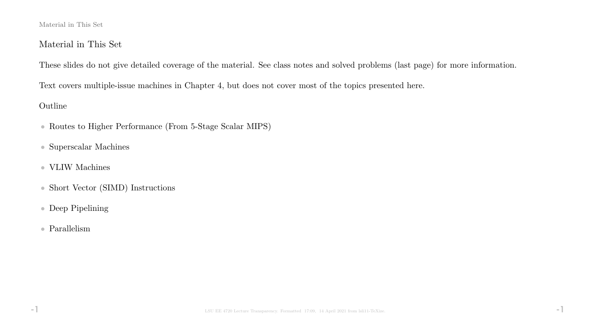#### Material in This Set

## Material in This Set

These slides do not give detailed coverage of the material. See class notes and solved problems (last page) for more information.

Text covers multiple-issue machines in Chapter 4, but does not cover most of the topics presented here.

### Outline

- Routes to Higher Performance (From 5-Stage Scalar MIPS)
- Superscalar Machines
- $\bullet\,$  VLIW Machines
- Short Vector (SIMD) Instructions
- Deep Pipelining
- Parallelism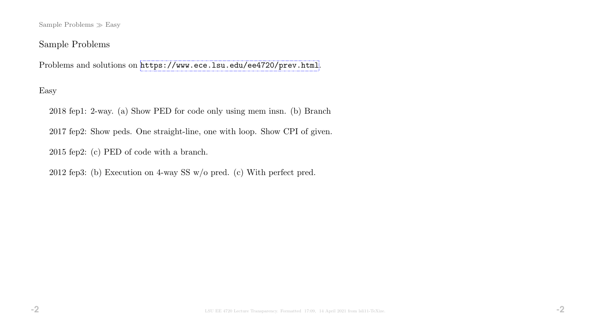Sample Problems  $\gg$  Easy

## Sample Problems

Problems and solutions on <https://www.ece.lsu.edu/ee4720/prev.html>.

## Easy

2018 fep1: 2-way. (a) Show PED for code only using mem insn. (b) Branch

2017 fep2: Show peds. One straight-line, one with loop. Show CPI of given.

2015 fep2: (c) PED of code with a branch.

2012 fep3: (b) Execution on 4-way SS w/o pred. (c) With perfect pred.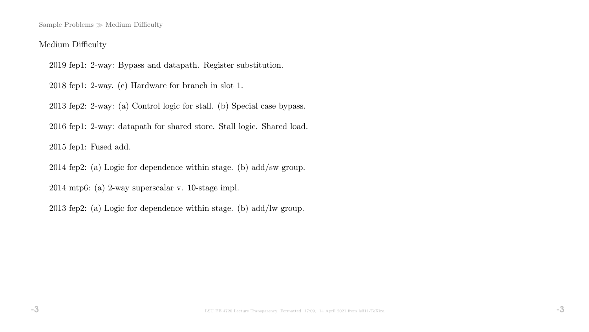Sample Problems  $\gg$  Medium Difficulty

#### Medium Difficulty

2019 fep1: 2-way: Bypass and datapath. Register substitution.

2018 fep1: 2-way. (c) Hardware for branch in slot 1.

2013 fep2: 2-way: (a) Control logic for stall. (b) Special case bypass.

2016 fep1: 2-way: datapath for shared store. Stall logic. Shared load.

2015 fep1: Fused add.

2014 fep2: (a) Logic for dependence within stage. (b) add/sw group.

2014 mtp6: (a) 2-way superscalar v. 10-stage impl.

2013 fep2: (a) Logic for dependence within stage. (b) add/lw group.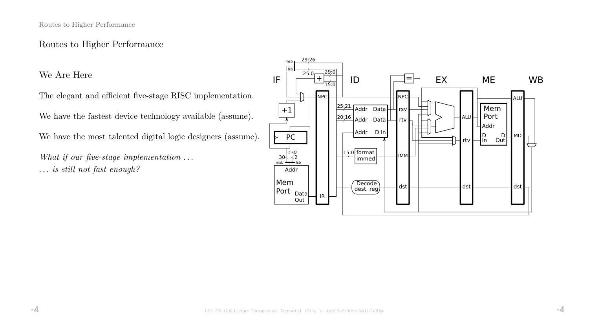## Routes to Higher Performance

We Are Here

The elegant and efficient five-stage RISC implementation.

We have the fastest device technology available (assume).

We have the most talented digital logic designers (assume).

What if our five-stage implementation ... . . . is still not fast enough?

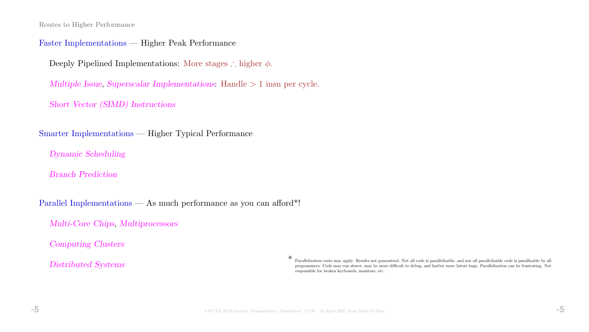Routes to Higher Performance

#### Faster Implementations — Higher Peak Performance

Deeply Pipelined Implementations: More stages ∴ higher  $\phi$ .

Multiple Issue, Superscalar Implementations: Handle > 1 insn per cycle.

Short Vector (SIMD) Instructions

Smarter Implementations — Higher Typical Performance

Dynamic Scheduling

Branch Prediction

Parallel Implementations — As much performance as you can afford\*!

Multi-Core Chips, Multiprocessors

Computing Clusters

Distributed Systems

\* Parallelization costs may apply. Results not guaranteed. Not all code is parallelizable, and not all parallelizable code is parallizable by all programmers. Code may run slower, may be more difficult to debug, and harbor more latent bugs. Parallelization can be frustrating. Not responsible for broken keyboards, monitors, etc.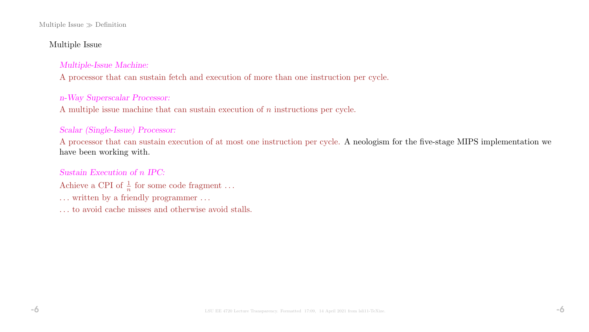#### Multiple Issue  $\gg$  Definition

#### Multiple Issue

#### Multiple-Issue Machine:

A processor that can sustain fetch and execution of more than one instruction per cycle.

#### n-Way Superscalar Processor:

A multiple issue machine that can sustain execution of n instructions per cycle.

#### Scalar (Single-Issue) Processor:

A processor that can sustain execution of at most one instruction per cycle. A neologism for the five-stage MIPS implementation we have been working with.

### Sustain Execution of n IPC:

- Achieve a CPI of  $\frac{1}{n}$  for some code fragment ...
- ... written by a friendly programmer ...
- . . . to avoid cache misses and otherwise avoid stalls.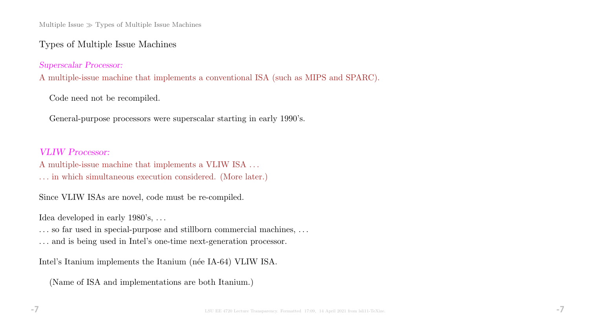Multiple Issue  $\gg$  Types of Multiple Issue Machines

## Types of Multiple Issue Machines

Superscalar Processor:

A multiple-issue machine that implements a conventional ISA (such as MIPS and SPARC).

Code need not be recompiled.

General-purpose processors were superscalar starting in early 1990's.

#### VLIW Processor:

A multiple-issue machine that implements a VLIW ISA . . .

. . . in which simultaneous execution considered. (More later.)

Since VLIW ISAs are novel, code must be re-compiled.

Idea developed in early 1980's, ...

... so far used in special-purpose and stillborn commercial machines, ...

. . . and is being used in Intel's one-time next-generation processor.

Intel's Itanium implements the Itanium (née IA-64) VLIW ISA.

(Name of ISA and implementations are both Itanium.)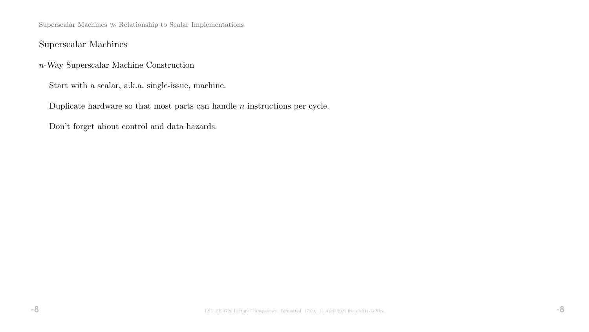Superscalar Machines  $\gg$  Relationship to Scalar Implementations

## Superscalar Machines

n-Way Superscalar Machine Construction

Start with a scalar, a.k.a. single-issue, machine.

Duplicate hardware so that most parts can handle  $n$  instructions per cycle.

Don't forget about control and data hazards.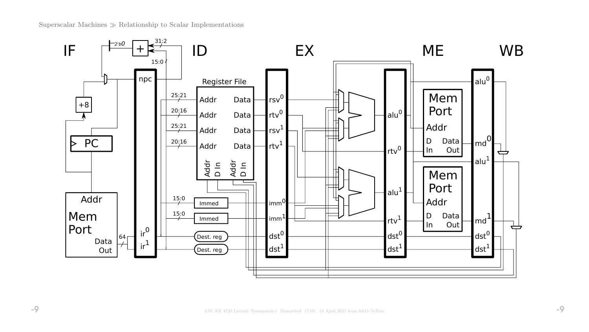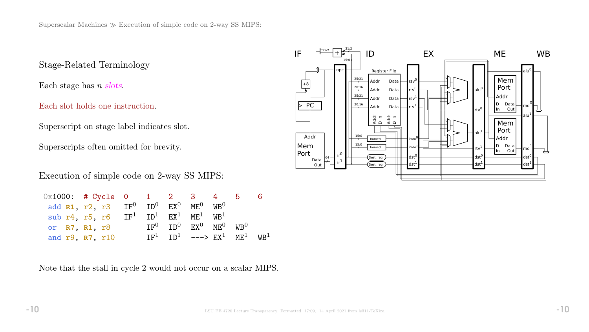Stage-Related Terminology

Each stage has  $n$  slots.

Each slot holds one instruction.

Superscript on stage label indicates slot.

Superscripts often omitted for brevity.

Execution of simple code on 2-way SS MIPS:

| $0x1000:$ # Cycle 0 1 2 3 4 5 |                                                           |  |                                                                  |  |  |
|-------------------------------|-----------------------------------------------------------|--|------------------------------------------------------------------|--|--|
|                               | add $R1$ , $r2$ , $r3$ $IF^0$ $ID^0$ $EX^0$ $ME^0$ $WB^0$ |  |                                                                  |  |  |
|                               | sub r4, r5, r6 $IF^1$ $ID^1$ $EX^1$ $ME^1$ $WB^1$         |  |                                                                  |  |  |
| or R7, R1, r8                 |                                                           |  | $TF^0$ $TD^0$ $FX^0$ $MF^0$ $WR^0$                               |  |  |
|                               | and r9, R7, r10                                           |  | $IF1$ ID <sup>1</sup> ---> $EX1$ MF <sup>1</sup> WB <sup>1</sup> |  |  |

Note that the stall in cycle 2 would not occur on a scalar MIPS.

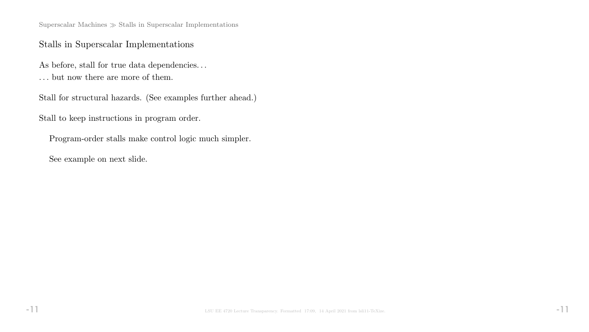Superscalar Machines  $\gg$  Stalls in Superscalar Implementations

## Stalls in Superscalar Implementations

As before, stall for true data dependencies...  $\dots$  but now there are more of them.

Stall for structural hazards. (See examples further ahead.)

Stall to keep instructions in program order.

Program-order stalls make control logic much simpler.

See example on next slide.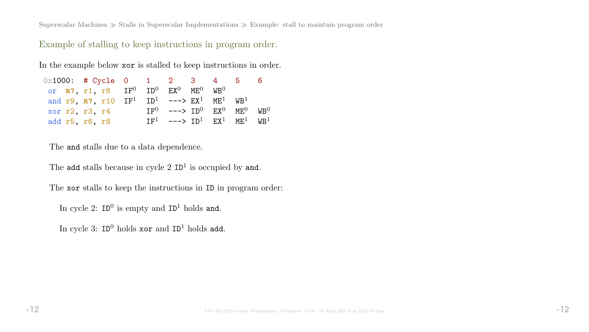Superscalar Machines  $\gg$  Stalls in Superscalar Implementations  $\gg$  Example: stall to maintain program order

Example of stalling to keep instructions in program order.

In the example below xor is stalled to keep instructions in order.

| $0x1000:$ # Cycle 0 1 2 3 4 5 |                                                                                    |  |                                         |  |  |
|-------------------------------|------------------------------------------------------------------------------------|--|-----------------------------------------|--|--|
|                               | or $R7$ , r1, r8 $IF^0$ $ID^0$ $EX^0$ $ME^0$ $WB^0$                                |  |                                         |  |  |
|                               | and r9, R7, r10 $IF^1$ ID <sup>1</sup> ---> $EX^1$ ME <sup>1</sup> WB <sup>1</sup> |  |                                         |  |  |
| xor r2, r3, r4                |                                                                                    |  | $TF^0$ ---> $TD^0$ $FX^0$ $MF^0$ $WR^0$ |  |  |
| add r5, r6, r8                |                                                                                    |  | $TF1$ ---> $TD1$ $FX1$ $MF1$ $WR1$      |  |  |

The and stalls due to a data dependence.

The add stalls because in cycle  $2$  ID<sup>1</sup> is occupied by and.

The xor stalls to keep the instructions in ID in program order:

In cycle 2:  $ID^0$  is empty and  $ID^1$  holds and.

In cycle 3:  $ID^0$  holds  $xor$  and  $ID^1$  holds add.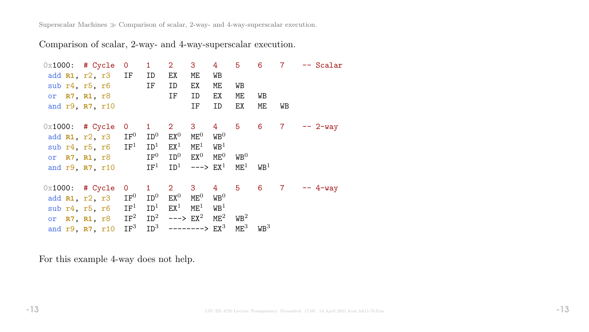Superscalar Machines  $\gg$  Comparison of scalar, 2-way- and 4-way-superscalar execution.

Comparison of scalar, 2-way- and 4-way-superscalar execution.

| $0x1000:$ # Cycle |                                        | $\overline{0}$  | $\mathbf{1}$          | 2 <sup>7</sup>          | 3 <sup>1</sup>  | 4 <sup>1</sup>   | 5 <sup>5</sup>   | $6^{\circ}$      | $\overline{7}$ | -- Scalar      |
|-------------------|----------------------------------------|-----------------|-----------------------|-------------------------|-----------------|------------------|------------------|------------------|----------------|----------------|
|                   | add R1, r2, r3 IF                      |                 | ID                    | EX                      | ME.             | WB               |                  |                  |                |                |
|                   | sub $r4, r5, r6$                       |                 | IF                    | ID                      | EX              | ME               | WB               |                  |                |                |
|                   | or R7, R1, r8                          |                 |                       | IF                      | ID              | EX               | МE               | WB               |                |                |
|                   | and r9, R7, r10                        |                 |                       |                         | IF              | ID               | EX               | ME               | WB             |                |
| $0x1000:$ # Cycle |                                        | $\overline{O}$  | $1 \quad$             | $2 \quad 3$             |                 |                  |                  | 4 5 6 7          |                | $-- 2-way$     |
|                   | add R1, r2, r3                         | $\mathtt{IF}^0$ | $\mathtt{ID}^0$       | $EX^0$                  | $ME^{0}$        | $\mathtt{WB}^0$  |                  |                  |                |                |
|                   | sub $r4$ , $r5$ , $r6$ IF <sup>1</sup> |                 | ID <sup>1</sup>       | $EX^1$                  | $\mathtt{ME}^1$ | W B <sup>1</sup> |                  |                  |                |                |
|                   | or <b>R7, R1,</b> r8                   |                 | $\mathtt{IF}^0$       | $\mathtt{ID}^0$         | $\mathsf{EX}^0$ | $ME^0$           | $W\text{B}^0$    |                  |                |                |
|                   | and r9, R7, r10                        |                 | $\operatorname{IF}^1$ | ${\tt ID}^1$            | $---> EX1$      |                  | $ME^{1}$         | $W\text{B}^1$    |                |                |
| $0x1000:$ # Cycle |                                        | $\overline{0}$  | $1 \quad$             | $2^{\circ}$             | 3 <sup>7</sup>  | $4\overline{ }$  |                  |                  |                | 5 6 7 -- 4-way |
| add R1, r2, r3    |                                        | $\mathtt{IF}^0$ | $\mathtt{ID}^0$       | $EX^0$                  | $ME^{0}$        | $W\text{B}^0$    |                  |                  |                |                |
| sub r4, r5, r6    |                                        | IF <sup>1</sup> | ID <sup>1</sup>       | $EX^1$                  | $\mathtt{ME}^1$ | $W\text{B}^1$    |                  |                  |                |                |
|                   | or R7, R1, r8                          | $\mathtt{IF}^2$ | ${\tt ID}^2$          | $---> EX2$              |                 | $\mathtt{ME}^2$  | W B <sup>2</sup> |                  |                |                |
|                   | and r9, R7, r10                        | IF <sup>3</sup> |                       | $ID^3$ --------> $EX^3$ |                 |                  | $ME^3$           | W B <sup>3</sup> |                |                |

For this example 4-way does not help.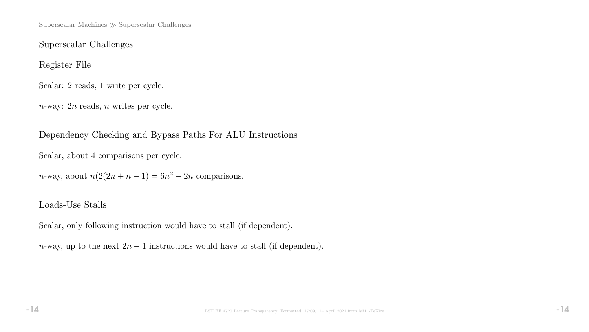Superscalar Machines  $\gg$  Superscalar Challenges

Superscalar Challenges

Register File

Scalar: 2 reads, 1 write per cycle.

n-way: 2n reads, n writes per cycle.

Dependency Checking and Bypass Paths For ALU Instructions

Scalar, about 4 comparisons per cycle.

n-way, about  $n(2(2n+n-1) = 6n^2 - 2n$  comparisons.

# Loads-Use Stalls

Scalar, only following instruction would have to stall (if dependent).

n-way, up to the next  $2n-1$  instructions would have to stall (if dependent).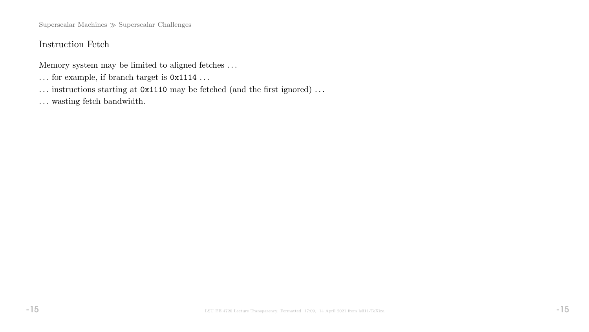Superscalar Machines  $\gg$  Superscalar Challenges

# Instruction Fetch

Memory system may be limited to aligned fetches . . .

- $\ldots$  for example, if branch target is  $0x1114 \ldots$
- ... instructions starting at  $0x1110$  may be fetched (and the first ignored) ...
- $\ldots$  wasting fetch bandwidth.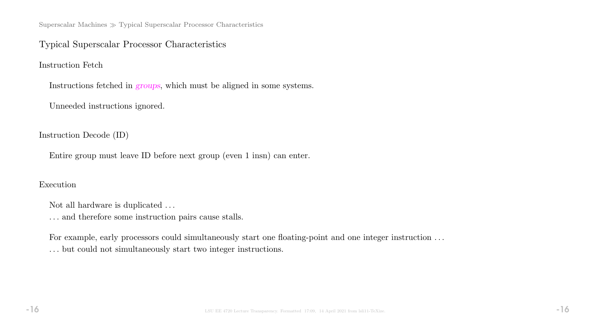Superscalar Machines  $\gg$  Typical Superscalar Processor Characteristics

## Typical Superscalar Processor Characteristics

Instruction Fetch

Instructions fetched in groups, which must be aligned in some systems.

Unneeded instructions ignored.

Instruction Decode (ID)

Entire group must leave ID before next group (even 1 insn) can enter.

#### Execution

Not all hardware is duplicated  $\ldots$ 

 $\ldots$  and therefore some instruction pairs cause stalls.

For example, early processors could simultaneously start one floating-point and one integer instruction ... . . . but could not simultaneously start two integer instructions.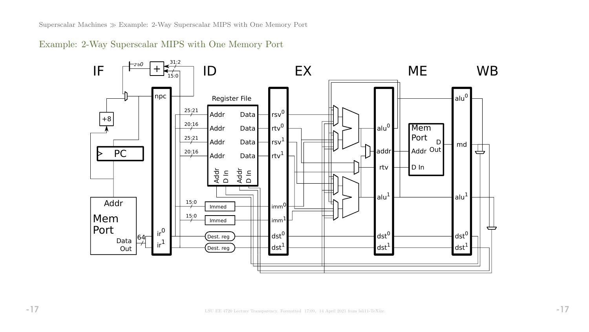Superscalar Machines Example: 2-Way Superscalar MIPS with One Memory Port

Example: 2-Way Superscalar MIPS with One Memory Port

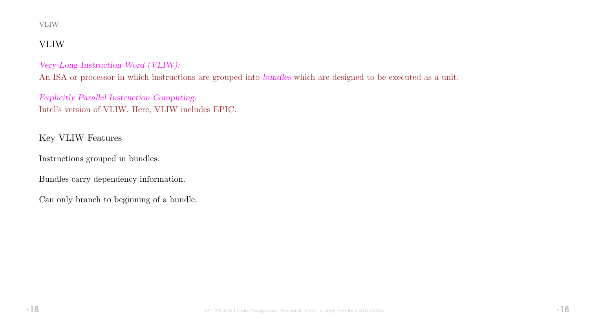#### VLIW

# VLIW

#### Very-Long Instruction Word (VLIW):

An ISA or processor in which instructions are grouped into bundles which are designed to be executed as a unit.

Explicitly Parallel Instruction Computing: Intel's version of VLIW. Here, VLIW includes EPIC.

# Key VLIW Features

Instructions grouped in bundles.

Bundles carry dependency information.

Can only branch to beginning of a bundle.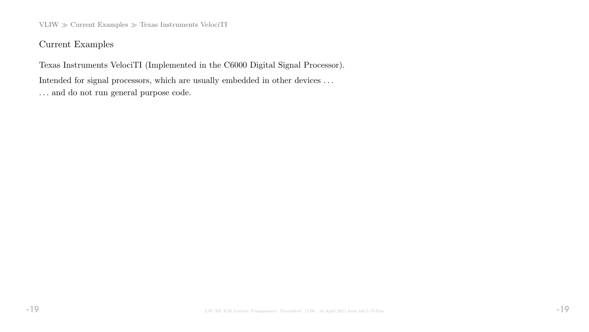$VLIW \gg Current$  Examples  $\gg$  Texas Instruments VelociTI

Current Examples

Texas Instruments VelociTI (Implemented in the C6000 Digital Signal Processor). Intended for signal processors, which are usually embedded in other devices . . . . . . and do not run general purpose code.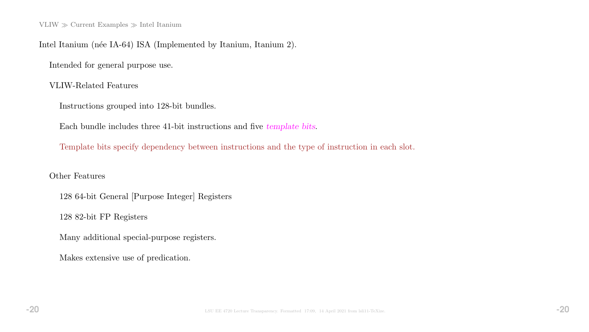VLIW  $\gg$  Current Examples  $\gg$  Intel Itanium

Intel Itanium (née IA-64) ISA (Implemented by Itanium, Itanium 2).

Intended for general purpose use.

VLIW-Related Features

Instructions grouped into 128-bit bundles.

Each bundle includes three 41-bit instructions and five template bits.

Template bits specify dependency between instructions and the type of instruction in each slot.

Other Features

128 64-bit General [Purpose Integer] Registers

128 82-bit FP Registers

Many additional special-purpose registers.

Makes extensive use of predication.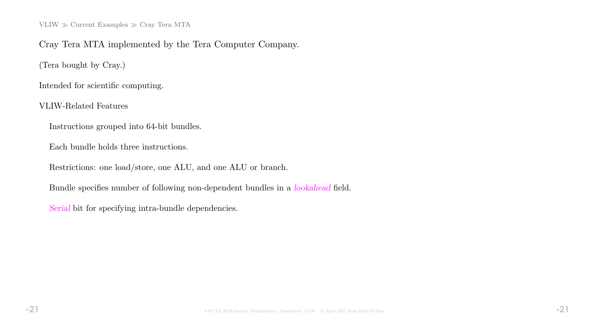VLIW  $\gg$  Current Examples  $\gg$  Cray Tera MTA

### Cray Tera MTA implemented by the Tera Computer Company.

(Tera bought by Cray.)

Intended for scientific computing.

VLIW-Related Features

Instructions grouped into 64-bit bundles.

Each bundle holds three instructions.

Restrictions: one load/store, one ALU, and one ALU or branch.

Bundle specifies number of following non-dependent bundles in a lookahead field.

Serial bit for specifying intra-bundle dependencies.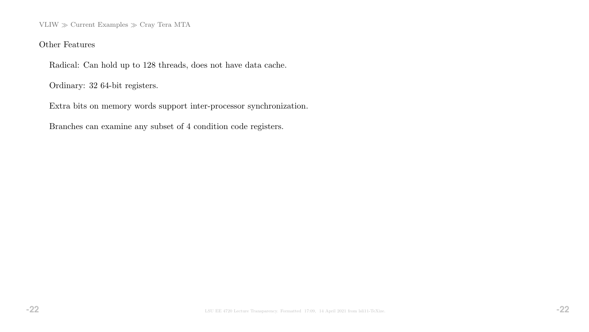VLIW  $\gg$  Current Examples  $\gg$  Cray Tera MTA

#### Other Features

Radical: Can hold up to 128 threads, does not have data cache.

Ordinary: 32 64-bit registers.

Extra bits on memory words support inter-processor synchronization.

Branches can examine any subset of 4 condition code registers.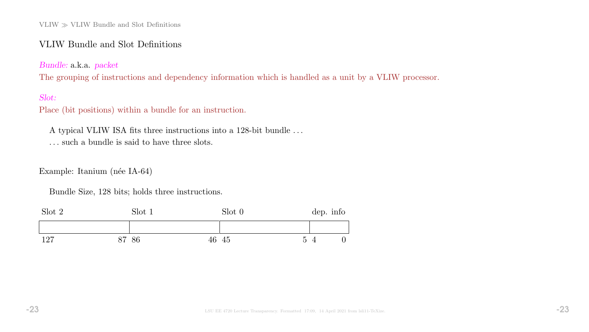### VLIW Bundle and Slot Definitions

Bundle: a.k.a. packet

The grouping of instructions and dependency information which is handled as a unit by a VLIW processor.

### Slot:

Place (bit positions) within a bundle for an instruction.

A typical VLIW ISA fits three instructions into a 128-bit bundle . . .

. . . such a bundle is said to have three slots.

Example: Itanium (née IA-64)

Bundle Size, 128 bits; holds three instructions.

| Slot 2 | Slot 1 |       | Slot 0 |                | dep. info |   |
|--------|--------|-------|--------|----------------|-----------|---|
|        |        |       |        |                |           |   |
| 127    | 87 86  | 46 45 |        | $\overline{5}$ |           | 0 |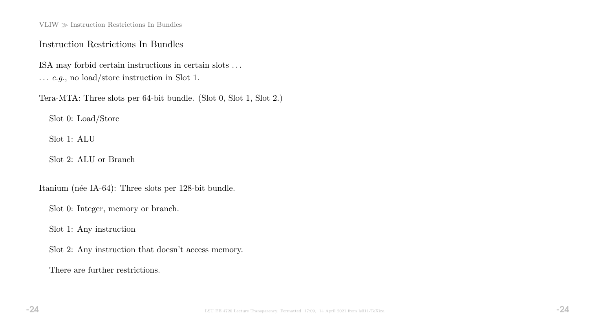$\text{VLIW} \gg \text{Instruction}$  Restrictions In Bundles

#### Instruction Restrictions In Bundles

ISA may forbid certain instructions in certain slots . . . . . . e.g., no load/store instruction in Slot 1.

Tera-MTA: Three slots per 64-bit bundle. (Slot 0, Slot 1, Slot 2.)

Slot 0: Load/Store

Slot 1: ALU

Slot 2: ALU or Branch

Itanium (née IA-64): Three slots per 128-bit bundle.

Slot 0: Integer, memory or branch.

Slot 1: Any instruction

Slot 2: Any instruction that doesn't access memory.

There are further restrictions.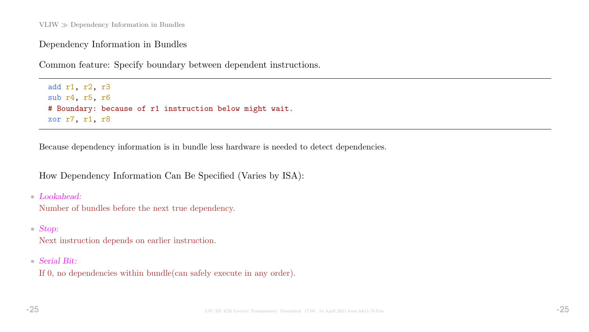## Dependency Information in Bundles

Common feature: Specify boundary between dependent instructions.

add r1, r2, r3 sub r4, r5, r6 # Boundary: because of r1 instruction below might wait. xor r7, r1, r8

Because dependency information is in bundle less hardware is needed to detect dependencies.

How Dependency Information Can Be Specified (Varies by ISA):

• Lookahead:

Number of bundles before the next true dependency.

• Stop:

Next instruction depends on earlier instruction.

• Serial Bit:

If 0, no dependencies within bundle(can safely execute in any order).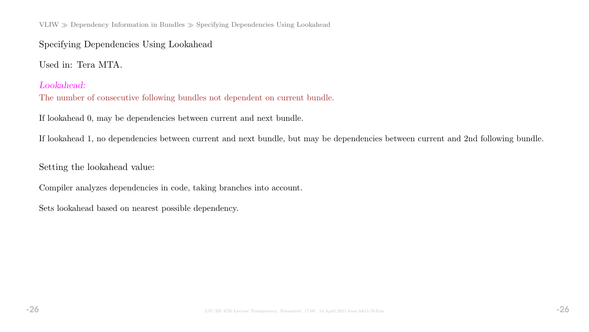VLIW Dependency Information in Bundles Specifying Dependencies Using Lookahead

# Specifying Dependencies Using Lookahead

Used in: Tera MTA.

#### Lookahead:

The number of consecutive following bundles not dependent on current bundle.

If lookahead 0, may be dependencies between current and next bundle.

If lookahead 1, no dependencies between current and next bundle, but may be dependencies between current and 2nd following bundle.

Setting the lookahead value:

Compiler analyzes dependencies in code, taking branches into account.

Sets lookahead based on nearest possible dependency.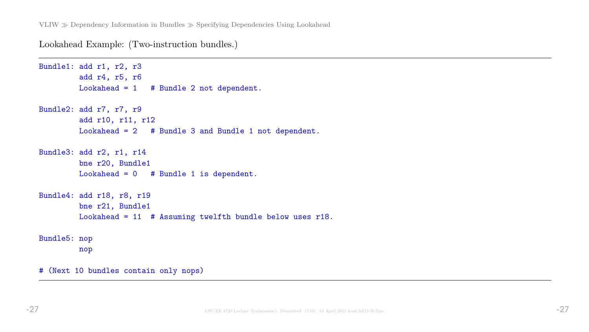Lookahead Example: (Two-instruction bundles.)

```
Bundle1: add r1, r2, r3
        add r4, r5, r6
        Lookahead = 1 # Bundle 2 not dependent.
Bundle2: add r7, r7, r9
         add r10, r11, r12
        Lookahead = 2 # Bundle 3 and Bundle 1 not dependent.
Bundle3: add r2, r1, r14
        bne r20, Bundle1
        Lookahead = 0 # Bundle 1 is dependent.
Bundle4: add r18, r8, r19
        bne r21, Bundle1
        Lookahead = 11 # Assuming twelfth bundle below uses r18.
Bundle5: nop
        nop
# (Next 10 bundles contain only nops)
```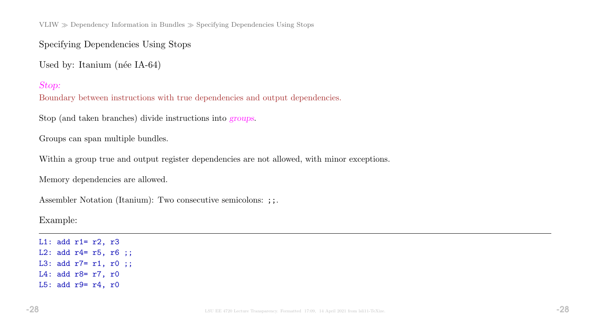VLIW  $\gg$  Dependency Information in Bundles  $\gg$  Specifying Dependencies Using Stops

Specifying Dependencies Using Stops

Used by: Itanium (née IA-64)

Stop:

Boundary between instructions with true dependencies and output dependencies.

Stop (and taken branches) divide instructions into groups.

Groups can span multiple bundles.

Within a group true and output register dependencies are not allowed, with minor exceptions.

Memory dependencies are allowed.

Assembler Notation (Itanium): Two consecutive semicolons: ;;.

Example:

L1: add  $r1 = r2$ ,  $r3$ L2: add r4= r5, r6 ;; L3: add r7= r1, r0 ;; L4: add r8= r7, r0 L5: add r9= r4, r0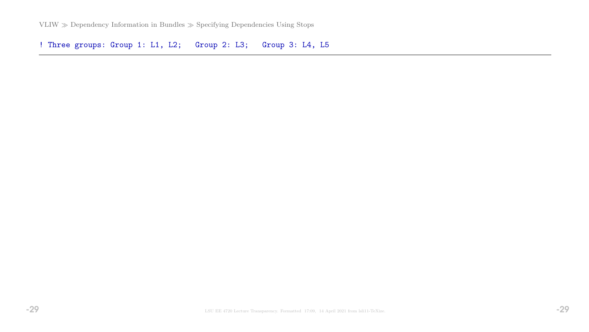VLIW  $\gg$  Dependency Information in Bundles  $\gg$  Specifying Dependencies Using Stops

! Three groups: Group 1: L1, L2; Group 2: L3; Group 3: L4, L5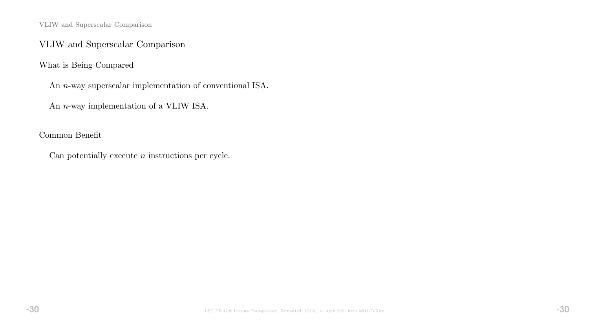VLIW and Superscalar Comparison

## VLIW and Superscalar Comparison

What is Being Compared

An n-way superscalar implementation of conventional ISA.

An n-way implementation of a VLIW ISA.

Common Benefit

Can potentially execute  $n$  instructions per cycle.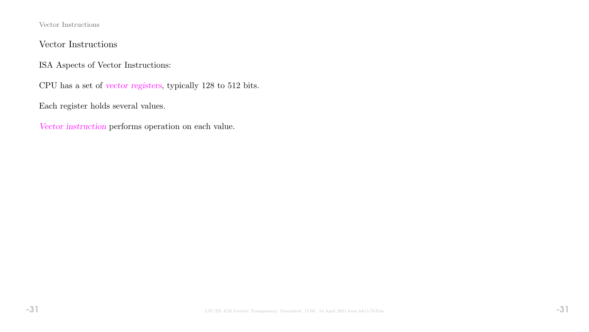Vector Instructions

## Vector Instructions

ISA Aspects of Vector Instructions:

CPU has a set of vector registers, typically 128 to 512 bits.

Each register holds several values.

Vector instruction performs operation on each value.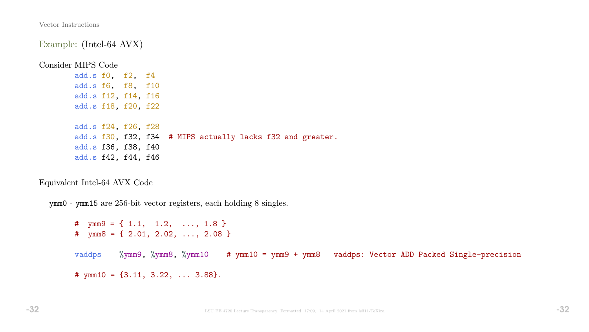Vector Instructions

Example: (Intel-64 AVX)

Consider MIPS Code

add.s f0, f2, f4 add.s f6, f8, f10 add.s f12, f14, f16 add.s f18, f20, f22

add.s f24, f26, f28 add.s f30, f32, f34 # MIPS actually lacks f32 and greater. add.s f36, f38, f40 add.s f42, f44, f46

Equivalent Intel-64 AVX Code

ymm0 - ymm15 are 256-bit vector registers, each holding 8 singles.

# ymm9 = { 1.1, 1.2, ..., 1.8 } #  $\text{ymm8} = \{ 2.01, 2.02, \ldots, 2.08 \}$ vaddps %ymm9, %ymm8, %ymm10 # ymm10 = ymm9 + ymm8 vaddps: Vector ADD Packed Single-precision #  $ymm10 = \{3.11, 3.22, \ldots 3.88\}.$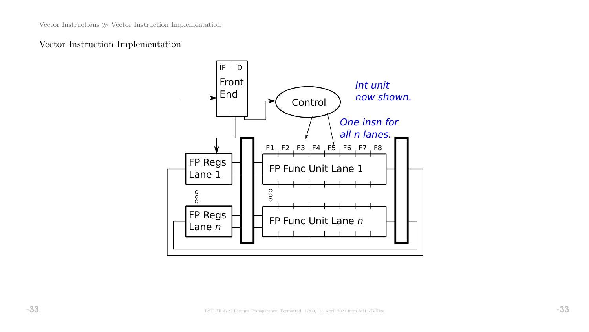## Vector Instruction Implementation

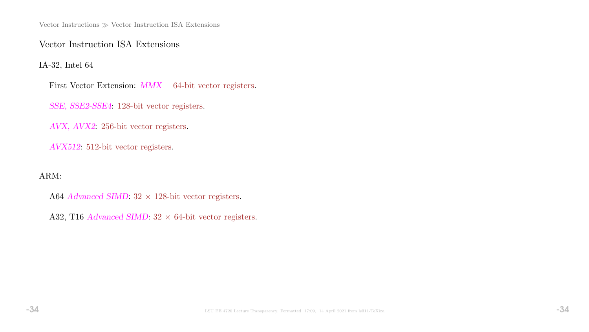Vector Instructions  $\gg$  Vector Instruction ISA Extensions

Vector Instruction ISA Extensions

IA-32, Intel 64

First Vector Extension: MMX— 64-bit vector registers.

SSE, SSE2-SSE4: 128-bit vector registers.

AVX, AVX2: 256-bit vector registers.

AVX512: 512-bit vector registers.

ARM:

A64 Advanced SIMD:  $32 \times 128$ -bit vector registers.

A32, T16 Advanced SIMD:  $32 \times 64$ -bit vector registers.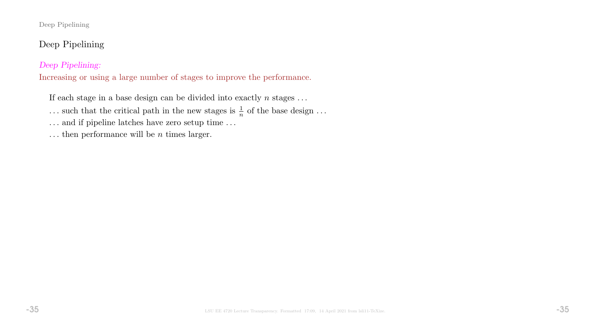#### Deep Pipelining

# Deep Pipelining

#### Deep Pipelining:

Increasing or using a large number of stages to improve the performance.

If each stage in a base design can be divided into exactly  $n$  stages ...

... such that the critical path in the new stages is  $\frac{1}{n}$  of the base design ...

 $\ldots$  and if pipeline latches have zero setup time  $\ldots$ 

... then performance will be  $n$  times larger.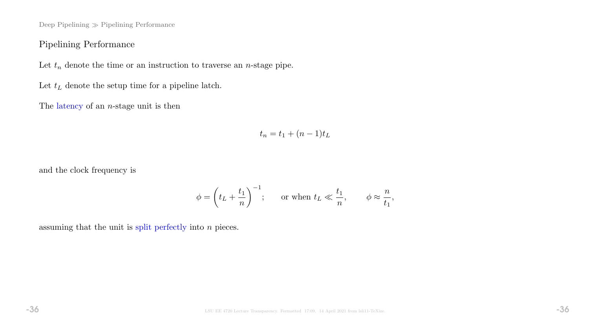Deep Pipelining  $\gg$  Pipelining Performance

## Pipelining Performance

Let  $t_n$  denote the time or an instruction to traverse an *n*-stage pipe.

Let  $t_L$  denote the setup time for a pipeline latch.

The latency of an  $n$ -stage unit is then

$$
t_n = t_1 + (n-1)t_L
$$

and the clock frequency is

$$
\phi = \left(t_L + \frac{t_1}{n}\right)^{-1}; \quad \text{or when } t_L \ll \frac{t_1}{n}, \quad \phi \approx \frac{n}{t_1},
$$

assuming that the unit is split perfectly into  $n$  pieces.